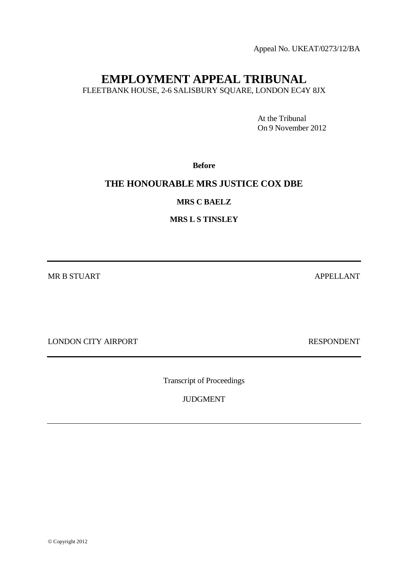Appeal No. UKEAT/0273/12/BA

# **EMPLOYMENT APPEAL TRIBUNAL**

FLEETBANK HOUSE, 2-6 SALISBURY SQUARE, LONDON EC4Y 8JX

At the Tribunal On 9 November 2012

**Before**

# **THE HONOURABLE MRS JUSTICE COX DBE**

**MRS C BAELZ**

**MRS L S TINSLEY**

MR B STUART APPELLANT

LONDON CITY AIRPORT RESPONDENT

Transcript of Proceedings

JUDGMENT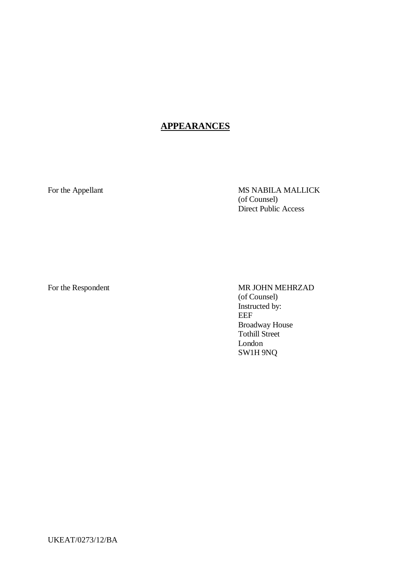# **APPEARANCES**

For the Appellant MS NABILA MALLICK (of Counsel) Direct Public Access

# For the Respondent MR JOHN MEHRZAD (of Counsel) Instructed by: EEF Broadway House Tothill Street London

SW1H 9NQ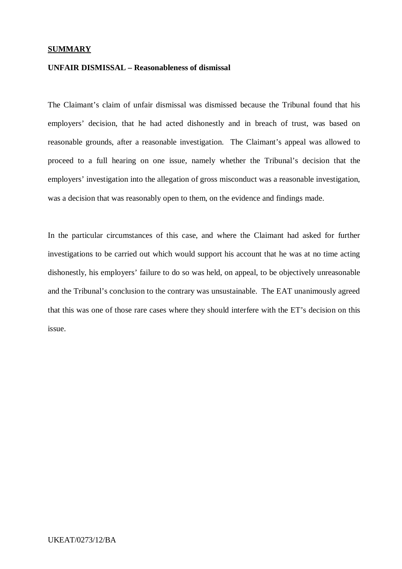# **SUMMARY**

# **UNFAIR DISMISSAL – Reasonableness of dismissal**

The Claimant's claim of unfair dismissal was dismissed because the Tribunal found that his employers' decision, that he had acted dishonestly and in breach of trust, was based on reasonable grounds, after a reasonable investigation. The Claimant's appeal was allowed to proceed to a full hearing on one issue, namely whether the Tribunal's decision that the employers' investigation into the allegation of gross misconduct was a reasonable investigation, was a decision that was reasonably open to them, on the evidence and findings made.

In the particular circumstances of this case, and where the Claimant had asked for further investigations to be carried out which would support his account that he was at no time acting dishonestly, his employers' failure to do so was held, on appeal, to be objectively unreasonable and the Tribunal's conclusion to the contrary was unsustainable. The EAT unanimously agreed that this was one of those rare cases where they should interfere with the ET's decision on this issue.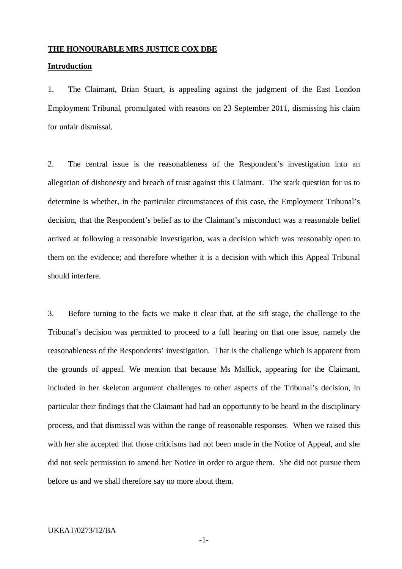#### **THE HONOURABLE MRS JUSTICE COX DBE**

#### **Introduction**

1. The Claimant, Brian Stuart, is appealing against the judgment of the East London Employment Tribunal, promulgated with reasons on 23 September 2011, dismissing his claim for unfair dismissal.

2. The central issue is the reasonableness of the Respondent's investigation into an allegation of dishonesty and breach of trust against this Claimant. The stark question for us to determine is whether, in the particular circumstances of this case, the Employment Tribunal's decision, that the Respondent's belief as to the Claimant's misconduct was a reasonable belief arrived at following a reasonable investigation, was a decision which was reasonably open to them on the evidence; and therefore whether it is a decision with which this Appeal Tribunal should interfere.

3. Before turning to the facts we make it clear that, at the sift stage, the challenge to the Tribunal's decision was permitted to proceed to a full hearing on that one issue, namely the reasonableness of the Respondents' investigation. That is the challenge which is apparent from the grounds of appeal. We mention that because Ms Mallick, appearing for the Claimant, included in her skeleton argument challenges to other aspects of the Tribunal's decision, in particular their findings that the Claimant had had an opportunity to be heard in the disciplinary process, and that dismissal was within the range of reasonable responses. When we raised this with her she accepted that those criticisms had not been made in the Notice of Appeal, and she did not seek permission to amend her Notice in order to argue them. She did not pursue them before us and we shall therefore say no more about them.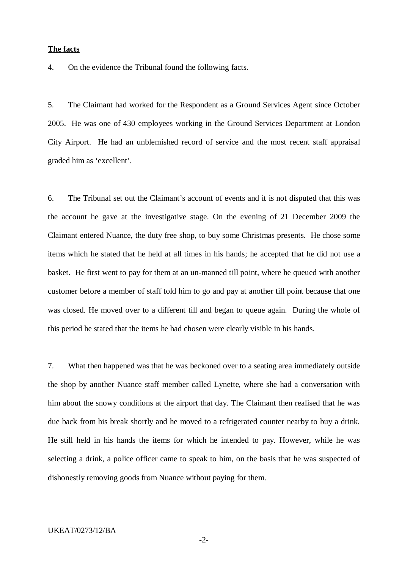# **The facts**

4. On the evidence the Tribunal found the following facts.

5. The Claimant had worked for the Respondent as a Ground Services Agent since October 2005. He was one of 430 employees working in the Ground Services Department at London City Airport. He had an unblemished record of service and the most recent staff appraisal graded him as 'excellent'.

6. The Tribunal set out the Claimant's account of events and it is not disputed that this was the account he gave at the investigative stage. On the evening of 21 December 2009 the Claimant entered Nuance, the duty free shop, to buy some Christmas presents. He chose some items which he stated that he held at all times in his hands; he accepted that he did not use a basket. He first went to pay for them at an un-manned till point, where he queued with another customer before a member of staff told him to go and pay at another till point because that one was closed. He moved over to a different till and began to queue again. During the whole of this period he stated that the items he had chosen were clearly visible in his hands.

7. What then happened was that he was beckoned over to a seating area immediately outside the shop by another Nuance staff member called Lynette, where she had a conversation with him about the snowy conditions at the airport that day. The Claimant then realised that he was due back from his break shortly and he moved to a refrigerated counter nearby to buy a drink. He still held in his hands the items for which he intended to pay. However, while he was selecting a drink, a police officer came to speak to him, on the basis that he was suspected of dishonestly removing goods from Nuance without paying for them.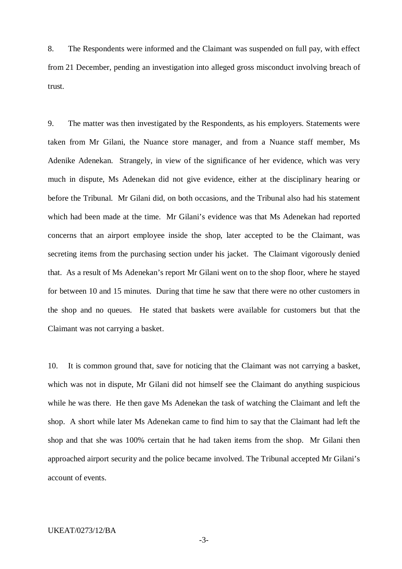8. The Respondents were informed and the Claimant was suspended on full pay, with effect from 21 December, pending an investigation into alleged gross misconduct involving breach of trust.

9. The matter was then investigated by the Respondents, as his employers. Statements were taken from Mr Gilani, the Nuance store manager, and from a Nuance staff member, Ms Adenike Adenekan. Strangely, in view of the significance of her evidence, which was very much in dispute, Ms Adenekan did not give evidence, either at the disciplinary hearing or before the Tribunal. Mr Gilani did, on both occasions, and the Tribunal also had his statement which had been made at the time. Mr Gilani's evidence was that Ms Adenekan had reported concerns that an airport employee inside the shop, later accepted to be the Claimant, was secreting items from the purchasing section under his jacket. The Claimant vigorously denied that. As a result of Ms Adenekan's report Mr Gilani went on to the shop floor, where he stayed for between 10 and 15 minutes. During that time he saw that there were no other customers in the shop and no queues. He stated that baskets were available for customers but that the Claimant was not carrying a basket.

10. It is common ground that, save for noticing that the Claimant was not carrying a basket, which was not in dispute, Mr Gilani did not himself see the Claimant do anything suspicious while he was there. He then gave Ms Adenekan the task of watching the Claimant and left the shop. A short while later Ms Adenekan came to find him to say that the Claimant had left the shop and that she was 100% certain that he had taken items from the shop. Mr Gilani then approached airport security and the police became involved. The Tribunal accepted Mr Gilani's account of events.

#### UKEAT/0273/12/BA

-3-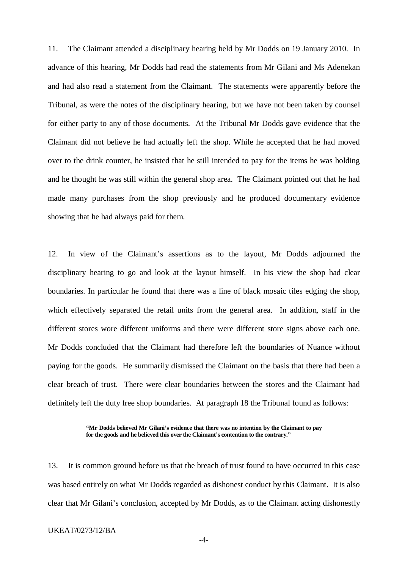11. The Claimant attended a disciplinary hearing held by Mr Dodds on 19 January 2010. In advance of this hearing, Mr Dodds had read the statements from Mr Gilani and Ms Adenekan and had also read a statement from the Claimant. The statements were apparently before the Tribunal, as were the notes of the disciplinary hearing, but we have not been taken by counsel for either party to any of those documents. At the Tribunal Mr Dodds gave evidence that the Claimant did not believe he had actually left the shop. While he accepted that he had moved over to the drink counter, he insisted that he still intended to pay for the items he was holding and he thought he was still within the general shop area. The Claimant pointed out that he had made many purchases from the shop previously and he produced documentary evidence showing that he had always paid for them.

12. In view of the Claimant's assertions as to the layout, Mr Dodds adjourned the disciplinary hearing to go and look at the layout himself. In his view the shop had clear boundaries. In particular he found that there was a line of black mosaic tiles edging the shop, which effectively separated the retail units from the general area. In addition, staff in the different stores wore different uniforms and there were different store signs above each one. Mr Dodds concluded that the Claimant had therefore left the boundaries of Nuance without paying for the goods. He summarily dismissed the Claimant on the basis that there had been a clear breach of trust. There were clear boundaries between the stores and the Claimant had definitely left the duty free shop boundaries. At paragraph 18 the Tribunal found as follows:

#### **"Mr Dodds believed Mr Gilani's evidence that there was no intention by the Claimant to pay for the goods and he believed this over the Claimant's contention to the contrary."**

13. It is common ground before us that the breach of trust found to have occurred in this case was based entirely on what Mr Dodds regarded as dishonest conduct by this Claimant. It is also clear that Mr Gilani's conclusion, accepted by Mr Dodds, as to the Claimant acting dishonestly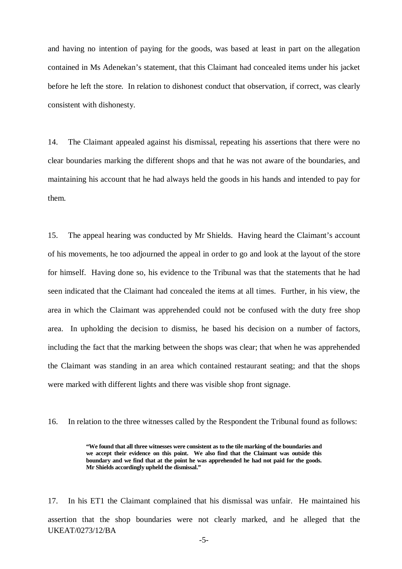and having no intention of paying for the goods, was based at least in part on the allegation contained in Ms Adenekan's statement, that this Claimant had concealed items under his jacket before he left the store. In relation to dishonest conduct that observation, if correct, was clearly consistent with dishonesty.

14. The Claimant appealed against his dismissal, repeating his assertions that there were no clear boundaries marking the different shops and that he was not aware of the boundaries, and maintaining his account that he had always held the goods in his hands and intended to pay for them.

15. The appeal hearing was conducted by Mr Shields. Having heard the Claimant's account of his movements, he too adjourned the appeal in order to go and look at the layout of the store for himself. Having done so, his evidence to the Tribunal was that the statements that he had seen indicated that the Claimant had concealed the items at all times. Further, in his view, the area in which the Claimant was apprehended could not be confused with the duty free shop area. In upholding the decision to dismiss, he based his decision on a number of factors, including the fact that the marking between the shops was clear; that when he was apprehended the Claimant was standing in an area which contained restaurant seating; and that the shops were marked with different lights and there was visible shop front signage.

16. In relation to the three witnesses called by the Respondent the Tribunal found as follows:

**"We found that all three witnesses were consistent as to the tile marking of the boundaries and we accept their evidence on this point. We also find that the Claimant was outside this boundary and we find that at the point he was apprehended he had not paid for the goods. Mr Shields accordingly upheld the dismissal."**

UKEAT/0273/12/BA 17. In his ET1 the Claimant complained that his dismissal was unfair. He maintained his assertion that the shop boundaries were not clearly marked, and he alleged that the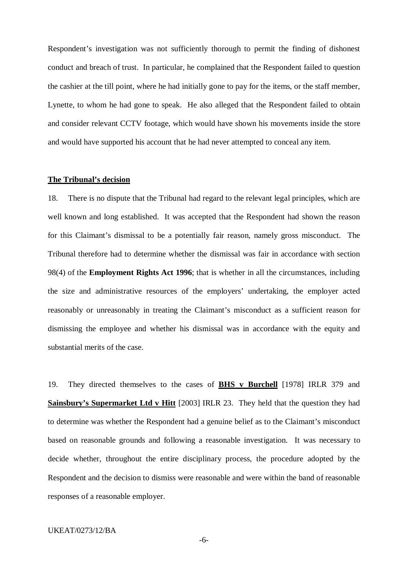Respondent's investigation was not sufficiently thorough to permit the finding of dishonest conduct and breach of trust. In particular, he complained that the Respondent failed to question the cashier at the till point, where he had initially gone to pay for the items, or the staff member, Lynette, to whom he had gone to speak. He also alleged that the Respondent failed to obtain and consider relevant CCTV footage, which would have shown his movements inside the store and would have supported his account that he had never attempted to conceal any item.

#### **The Tribunal's decision**

18. There is no dispute that the Tribunal had regard to the relevant legal principles, which are well known and long established. It was accepted that the Respondent had shown the reason for this Claimant's dismissal to be a potentially fair reason, namely gross misconduct. The Tribunal therefore had to determine whether the dismissal was fair in accordance with section 98(4) of the **Employment Rights Act 1996**; that is whether in all the circumstances, including the size and administrative resources of the employers' undertaking, the employer acted reasonably or unreasonably in treating the Claimant's misconduct as a sufficient reason for dismissing the employee and whether his dismissal was in accordance with the equity and substantial merits of the case.

19. They directed themselves to the cases of **BHS v Burchell** [1978] IRLR 379 and **Sainsbury's Supermarket Ltd v Hitt** [2003] IRLR 23. They held that the question they had to determine was whether the Respondent had a genuine belief as to the Claimant's misconduct based on reasonable grounds and following a reasonable investigation. It was necessary to decide whether, throughout the entire disciplinary process, the procedure adopted by the Respondent and the decision to dismiss were reasonable and were within the band of reasonable responses of a reasonable employer.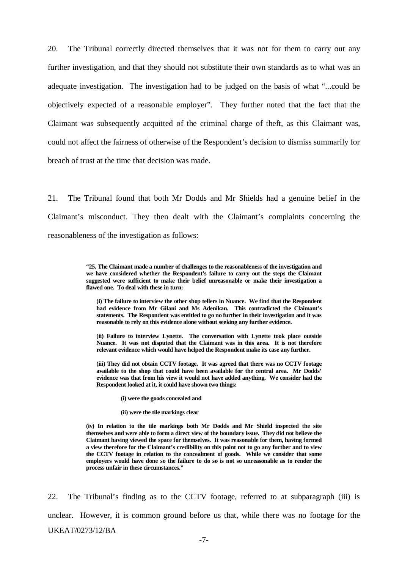20. The Tribunal correctly directed themselves that it was not for them to carry out any further investigation, and that they should not substitute their own standards as to what was an adequate investigation. The investigation had to be judged on the basis of what "...could be objectively expected of a reasonable employer". They further noted that the fact that the Claimant was subsequently acquitted of the criminal charge of theft, as this Claimant was, could not affect the fairness of otherwise of the Respondent's decision to dismiss summarily for breach of trust at the time that decision was made.

21. The Tribunal found that both Mr Dodds and Mr Shields had a genuine belief in the Claimant's misconduct. They then dealt with the Claimant's complaints concerning the reasonableness of the investigation as follows:

> **"25. The Claimant made a number of challenges to the reasonableness of the investigation and we have considered whether the Respondent's failure to carry out the steps the Claimant suggested were sufficient to make their belief unreasonable or make their investigation a flawed one. To deal with these in turn:**

**(i) The failure to interview the other shop tellers in Nuance. We find that the Respondent had evidence from Mr Gilani and Ms Adenikan. This contradicted the Claimant's statements. The Respondent was entitled to go no further in their investigation and it was reasonable to rely on this evidence alone without seeking any further evidence.**

**(ii) Failure to interview Lynette. The conversation with Lynette took place outside Nuance. It was not disputed that the Claimant was in this area. It is not therefore relevant evidence which would have helped the Respondent make its case any further.**

**(iii) They did not obtain CCTV footage. It was agreed that there was no CCTV footage available to the shop that could have been available for the central area. Mr Dodds' evidence was that from his view it would not have added anything. We consider had the Respondent looked at it, it could have shown two things:**

- **(i) were the goods concealed and**
- **(ii) were the tile markings clear**

**(iv) In relation to the tile markings both Mr Dodds and Mr Shield inspected the site themselves and were able to form a direct view of the boundary issue. They did not believe the Claimant having viewed the space for themselves. It was reasonable for them, having formed a view therefore for the Claimant's credibility on this point not to go any further and to view the CCTV footage in relation to the concealment of goods. While we consider that some employers would have done so the failure to do so is not so unreasonable as to render the process unfair in these circumstances."**

UKEAT/0273/12/BA 22. The Tribunal's finding as to the CCTV footage, referred to at subparagraph (iii) is unclear. However, it is common ground before us that, while there was no footage for the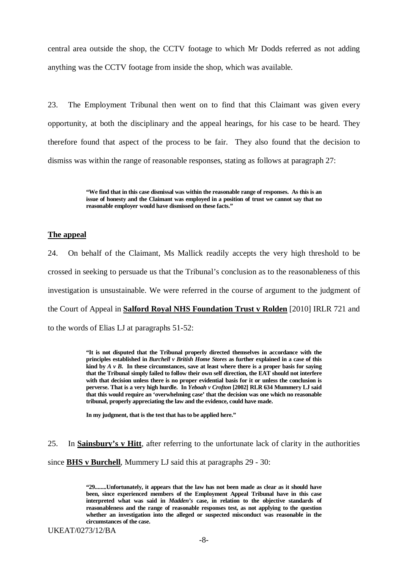central area outside the shop, the CCTV footage to which Mr Dodds referred as not adding anything was the CCTV footage from inside the shop, which was available.

23. The Employment Tribunal then went on to find that this Claimant was given every opportunity, at both the disciplinary and the appeal hearings, for his case to be heard. They therefore found that aspect of the process to be fair. They also found that the decision to dismiss was within the range of reasonable responses, stating as follows at paragraph 27:

> **"We find that in this case dismissal was within the reasonable range of responses. As this is an issue of honesty and the Claimant was employed in a position of trust we cannot say that no reasonable employer would have dismissed on these facts."**

#### **The appeal**

24. On behalf of the Claimant, Ms Mallick readily accepts the very high threshold to be crossed in seeking to persuade us that the Tribunal's conclusion as to the reasonableness of this investigation is unsustainable. We were referred in the course of argument to the judgment of the Court of Appeal in **Salford Royal NHS Foundation Trust v Rolden** [2010] IRLR 721 and to the words of Elias LJ at paragraphs 51-52:

> **"It is not disputed that the Tribunal properly directed themselves in accordance with the principles established in** *Burchell v British Home Stores* **as further explained in a case of this kind by** *A v B***. In these circumstances, save at least where there is a proper basis for saying that the Tribunal simply failed to follow their own self direction, the EAT should not interfere with that decision unless there is no proper evidential basis for it or unless the conclusion is perverse. That is a very high hurdle. In** *Yeboah v Crofton* **[2002] RLR 634 Mummery LJ said that this would require an 'overwhelming case' that the decision was one which no reasonable tribunal, properly appreciating the law and the evidence, could have made.**

**In my judgment, that is the test that has to be applied here."**

25. In **Sainsbury's v Hitt**, after referring to the unfortunate lack of clarity in the authorities since **BHS v Burchell**, Mummery LJ said this at paragraphs 29 - 30:

> **"29........Unfortunately, it appears that the law has not been made as clear as it should have been, since experienced members of the Employment Appeal Tribunal have in this case interpreted what was said in** *Madden's* **case, in relation to the objective standards of reasonableness and the range of reasonable responses test, as not applying to the question whether an investigation into the alleged or suspected misconduct was reasonable in the circumstances of the case.**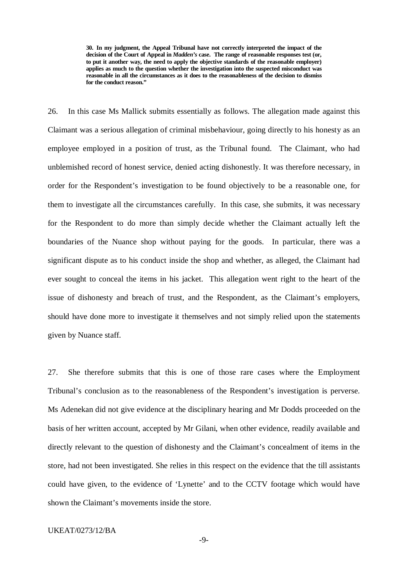**30. In my judgment, the Appeal Tribunal have not correctly interpreted the impact of the decision of the Court of Appeal in** *Madden's* **case. The range of reasonable responses test (or, to put it another way, the need to apply the objective standards of the reasonable employer) applies as much to the question whether the investigation into the suspected misconduct was reasonable in all the circumstances as it does to the reasonableness of the decision to dismiss for the conduct reason."**

26. In this case Ms Mallick submits essentially as follows. The allegation made against this Claimant was a serious allegation of criminal misbehaviour, going directly to his honesty as an employee employed in a position of trust, as the Tribunal found. The Claimant, who had unblemished record of honest service, denied acting dishonestly. It was therefore necessary, in order for the Respondent's investigation to be found objectively to be a reasonable one, for them to investigate all the circumstances carefully. In this case, she submits, it was necessary for the Respondent to do more than simply decide whether the Claimant actually left the boundaries of the Nuance shop without paying for the goods. In particular, there was a significant dispute as to his conduct inside the shop and whether, as alleged, the Claimant had ever sought to conceal the items in his jacket. This allegation went right to the heart of the issue of dishonesty and breach of trust, and the Respondent, as the Claimant's employers, should have done more to investigate it themselves and not simply relied upon the statements given by Nuance staff.

27. She therefore submits that this is one of those rare cases where the Employment Tribunal's conclusion as to the reasonableness of the Respondent's investigation is perverse. Ms Adenekan did not give evidence at the disciplinary hearing and Mr Dodds proceeded on the basis of her written account, accepted by Mr Gilani, when other evidence, readily available and directly relevant to the question of dishonesty and the Claimant's concealment of items in the store, had not been investigated. She relies in this respect on the evidence that the till assistants could have given, to the evidence of 'Lynette' and to the CCTV footage which would have shown the Claimant's movements inside the store.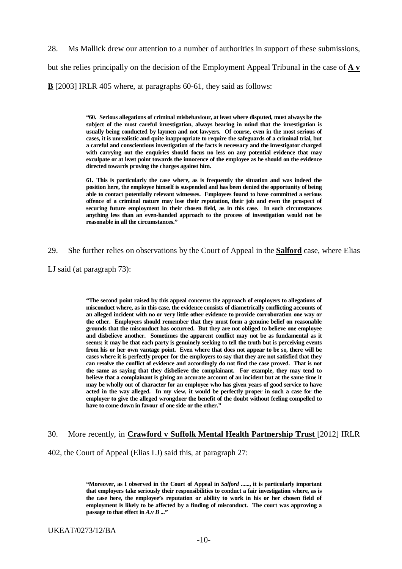28. Ms Mallick drew our attention to a number of authorities in support of these submissions, but she relies principally on the decision of the Employment Appeal Tribunal in the case of **A v B** [2003] IRLR 405 where, at paragraphs 60-61, they said as follows:

> **"60. Serious allegations of criminal misbehaviour, at least where disputed, must always be the subject of the most careful investigation, always bearing in mind that the investigation is usually being conducted by laymen and not lawyers. Of course, even in the most serious of cases, it is unrealistic and quite inappropriate to require the safeguards of a criminal trial, but a careful and conscientious investigation of the facts is necessary and the investigator charged with carrying out the enquiries should focus no less on any potential evidence that may exculpate or at least point towards the innocence of the employee as he should on the evidence directed towards proving the charges against him.**

> **61. This is particularly the case where, as is frequently the situation and was indeed the position here, the employee himself is suspended and has been denied the opportunity of being able to contact potentially relevant witnesses. Employees found to have committed a serious offence of a criminal nature may lose their reputation, their job and even the prospect of securing future employment in their chosen field, as in this case. In such circumstances anything less than an even-handed approach to the process of investigation would not be reasonable in all the circumstances."**

29. She further relies on observations by the Court of Appeal in the **Salford** case, where Elias

LJ said (at paragraph 73):

**"The second point raised by this appeal concerns the approach of employers to allegations of misconduct where, as in this case, the evidence consists of diametrically conflicting accounts of an alleged incident with no or very little other evidence to provide corroboration one way or the other. Employers should remember that they must form a genuine belief on reasonable grounds that the misconduct has occurred. But they are not obliged to believe one employee and disbelieve another. Sometimes the apparent conflict may not be as fundamental as it seems; it may be that each party is genuinely seeking to tell the truth but is perceiving events from his or her own vantage point. Even where that does not appear to be so, there will be cases where it is perfectly proper for the employers to say that they are not satisfied that they can resolve the conflict of evidence and accordingly do not find the case proved. That is not the same as saying that they disbelieve the complainant. For example, they may tend to believe that a complainant is giving an accurate account of an incident but at the same time it may be wholly out of character for an employee who has given years of good service to have acted in the way alleged. In my view, it would be perfectly proper in such a case for the employer to give the alleged wrongdoer the benefit of the doubt without feeling compelled to have to come down in favour of one side or the other."**

#### 30. More recently, in **Crawford v Suffolk Mental Health Partnership Trust** [2012] IRLR

402, the Court of Appeal (Elias LJ) said this, at paragraph 27:

**"Moreover, as I observed in the Court of Appeal in** *Salford* **......, it is particularly important that employers take seriously their responsibilities to conduct a fair investigation where, as is the case here, the employee's reputation or ability to work in his or her chosen field of employment is likely to be affected by a finding of misconduct. The court was approving a passage to that effect in** *A.v B* **..."**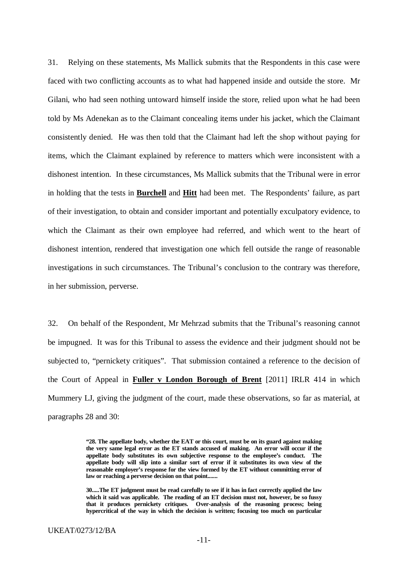31. Relying on these statements, Ms Mallick submits that the Respondents in this case were faced with two conflicting accounts as to what had happened inside and outside the store. Mr Gilani, who had seen nothing untoward himself inside the store, relied upon what he had been told by Ms Adenekan as to the Claimant concealing items under his jacket, which the Claimant consistently denied. He was then told that the Claimant had left the shop without paying for items, which the Claimant explained by reference to matters which were inconsistent with a dishonest intention. In these circumstances, Ms Mallick submits that the Tribunal were in error in holding that the tests in **Burchell** and **Hitt** had been met. The Respondents' failure, as part of their investigation, to obtain and consider important and potentially exculpatory evidence, to which the Claimant as their own employee had referred, and which went to the heart of dishonest intention, rendered that investigation one which fell outside the range of reasonable investigations in such circumstances. The Tribunal's conclusion to the contrary was therefore, in her submission, perverse.

32. On behalf of the Respondent, Mr Mehrzad submits that the Tribunal's reasoning cannot be impugned. It was for this Tribunal to assess the evidence and their judgment should not be subjected to, "pernickety critiques". That submission contained a reference to the decision of the Court of Appeal in **Fuller v London Borough of Brent** [2011] IRLR 414 in which Mummery LJ, giving the judgment of the court, made these observations, so far as material, at paragraphs 28 and 30:

> **"28. The appellate body, whether the EAT or this court, must be on its guard against making the very same legal error as the ET stands accused of making. An error will occur if the appellate body substitutes its own subjective response to the employee's conduct. The appellate body will slip into a similar sort of error if it substitutes its own view of the reasonable employer's response for the view formed by the ET without committing error of law or reaching a perverse decision on that point.......**

> **30.....The ET judgment must be read carefully to see if it has in fact correctly applied the law which it said was applicable. The reading of an ET decision must not, however, be so fussy that it produces pernickety critiques. Over-analysis of the reasoning process; being hypercritical of the way in which the decision is written; focusing too much on particular**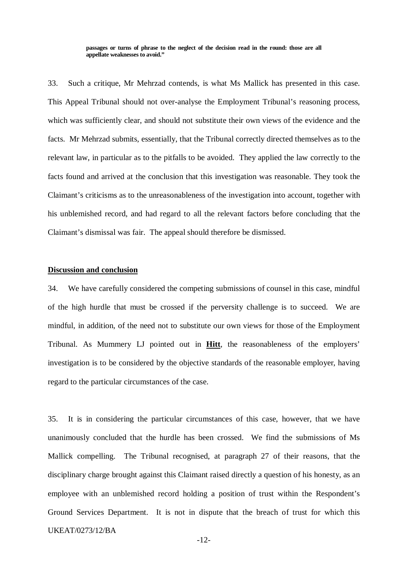**passages or turns of phrase to the neglect of the decision read in the round: those are all appellate weaknesses to avoid."**

33. Such a critique, Mr Mehrzad contends, is what Ms Mallick has presented in this case. This Appeal Tribunal should not over-analyse the Employment Tribunal's reasoning process, which was sufficiently clear, and should not substitute their own views of the evidence and the facts. Mr Mehrzad submits, essentially, that the Tribunal correctly directed themselves as to the relevant law, in particular as to the pitfalls to be avoided. They applied the law correctly to the facts found and arrived at the conclusion that this investigation was reasonable. They took the Claimant's criticisms as to the unreasonableness of the investigation into account, together with his unblemished record, and had regard to all the relevant factors before concluding that the Claimant's dismissal was fair. The appeal should therefore be dismissed.

# **Discussion and conclusion**

34. We have carefully considered the competing submissions of counsel in this case, mindful of the high hurdle that must be crossed if the perversity challenge is to succeed. We are mindful, in addition, of the need not to substitute our own views for those of the Employment Tribunal. As Mummery LJ pointed out in **Hitt**, the reasonableness of the employers' investigation is to be considered by the objective standards of the reasonable employer, having regard to the particular circumstances of the case.

UKEAT/0273/12/BA 35. It is in considering the particular circumstances of this case, however, that we have unanimously concluded that the hurdle has been crossed. We find the submissions of Ms Mallick compelling. The Tribunal recognised, at paragraph 27 of their reasons, that the disciplinary charge brought against this Claimant raised directly a question of his honesty, as an employee with an unblemished record holding a position of trust within the Respondent's Ground Services Department. It is not in dispute that the breach of trust for which this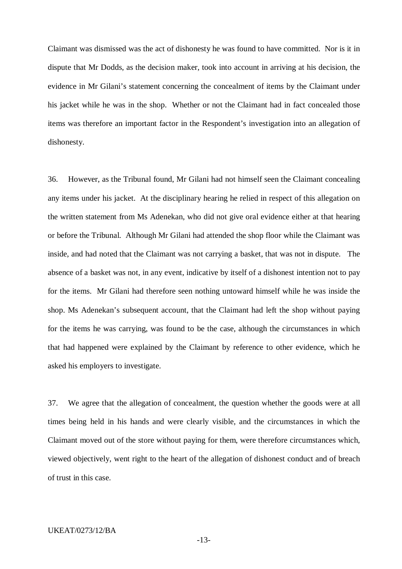Claimant was dismissed was the act of dishonesty he was found to have committed. Nor is it in dispute that Mr Dodds, as the decision maker, took into account in arriving at his decision, the evidence in Mr Gilani's statement concerning the concealment of items by the Claimant under his jacket while he was in the shop. Whether or not the Claimant had in fact concealed those items was therefore an important factor in the Respondent's investigation into an allegation of dishonesty.

36. However, as the Tribunal found, Mr Gilani had not himself seen the Claimant concealing any items under his jacket. At the disciplinary hearing he relied in respect of this allegation on the written statement from Ms Adenekan, who did not give oral evidence either at that hearing or before the Tribunal. Although Mr Gilani had attended the shop floor while the Claimant was inside, and had noted that the Claimant was not carrying a basket, that was not in dispute. The absence of a basket was not, in any event, indicative by itself of a dishonest intention not to pay for the items. Mr Gilani had therefore seen nothing untoward himself while he was inside the shop. Ms Adenekan's subsequent account, that the Claimant had left the shop without paying for the items he was carrying, was found to be the case, although the circumstances in which that had happened were explained by the Claimant by reference to other evidence, which he asked his employers to investigate.

37. We agree that the allegation of concealment, the question whether the goods were at all times being held in his hands and were clearly visible, and the circumstances in which the Claimant moved out of the store without paying for them, were therefore circumstances which, viewed objectively, went right to the heart of the allegation of dishonest conduct and of breach of trust in this case.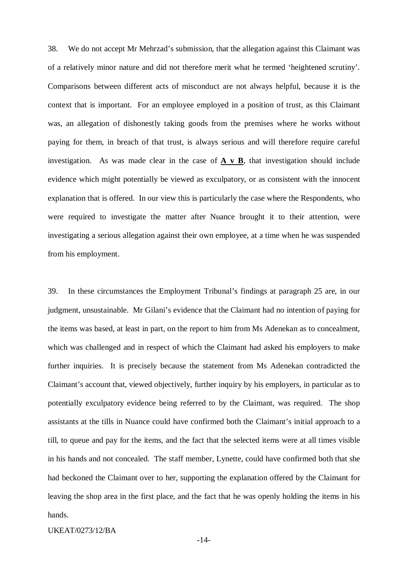38. We do not accept Mr Mehrzad's submission, that the allegation against this Claimant was of a relatively minor nature and did not therefore merit what he termed 'heightened scrutiny'. Comparisons between different acts of misconduct are not always helpful, because it is the context that is important. For an employee employed in a position of trust, as this Claimant was, an allegation of dishonestly taking goods from the premises where he works without paying for them, in breach of that trust, is always serious and will therefore require careful investigation. As was made clear in the case of **A v B**, that investigation should include evidence which might potentially be viewed as exculpatory, or as consistent with the innocent explanation that is offered. In our view this is particularly the case where the Respondents, who were required to investigate the matter after Nuance brought it to their attention, were investigating a serious allegation against their own employee, at a time when he was suspended from his employment.

39. In these circumstances the Employment Tribunal's findings at paragraph 25 are, in our judgment, unsustainable. Mr Gilani's evidence that the Claimant had no intention of paying for the items was based, at least in part, on the report to him from Ms Adenekan as to concealment, which was challenged and in respect of which the Claimant had asked his employers to make further inquiries. It is precisely because the statement from Ms Adenekan contradicted the Claimant's account that, viewed objectively, further inquiry by his employers, in particular as to potentially exculpatory evidence being referred to by the Claimant, was required. The shop assistants at the tills in Nuance could have confirmed both the Claimant's initial approach to a till, to queue and pay for the items, and the fact that the selected items were at all times visible in his hands and not concealed. The staff member, Lynette, could have confirmed both that she had beckoned the Claimant over to her, supporting the explanation offered by the Claimant for leaving the shop area in the first place, and the fact that he was openly holding the items in his hands.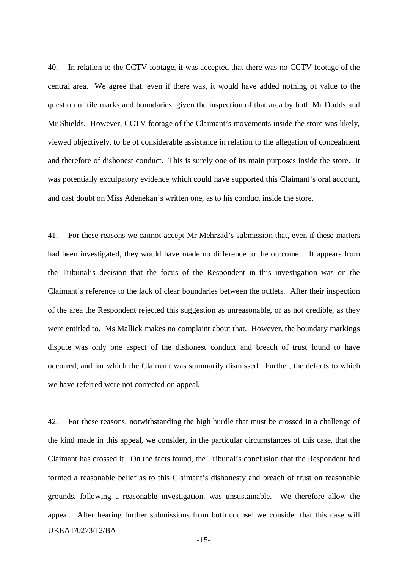40. In relation to the CCTV footage, it was accepted that there was no CCTV footage of the central area. We agree that, even if there was, it would have added nothing of value to the question of tile marks and boundaries, given the inspection of that area by both Mr Dodds and Mr Shields. However, CCTV footage of the Claimant's movements inside the store was likely, viewed objectively, to be of considerable assistance in relation to the allegation of concealment and therefore of dishonest conduct. This is surely one of its main purposes inside the store. It was potentially exculpatory evidence which could have supported this Claimant's oral account, and cast doubt on Miss Adenekan's written one, as to his conduct inside the store.

41. For these reasons we cannot accept Mr Mehrzad's submission that, even if these matters had been investigated, they would have made no difference to the outcome. It appears from the Tribunal's decision that the focus of the Respondent in this investigation was on the Claimant's reference to the lack of clear boundaries between the outlets. After their inspection of the area the Respondent rejected this suggestion as unreasonable, or as not credible, as they were entitled to. Ms Mallick makes no complaint about that. However, the boundary markings dispute was only one aspect of the dishonest conduct and breach of trust found to have occurred, and for which the Claimant was summarily dismissed. Further, the defects to which we have referred were not corrected on appeal.

UKEAT/0273/12/BA 42. For these reasons, notwithstanding the high hurdle that must be crossed in a challenge of the kind made in this appeal, we consider, in the particular circumstances of this case, that the Claimant has crossed it. On the facts found, the Tribunal's conclusion that the Respondent had formed a reasonable belief as to this Claimant's dishonesty and breach of trust on reasonable grounds, following a reasonable investigation, was unsustainable. We therefore allow the appeal. After hearing further submissions from both counsel we consider that this case will